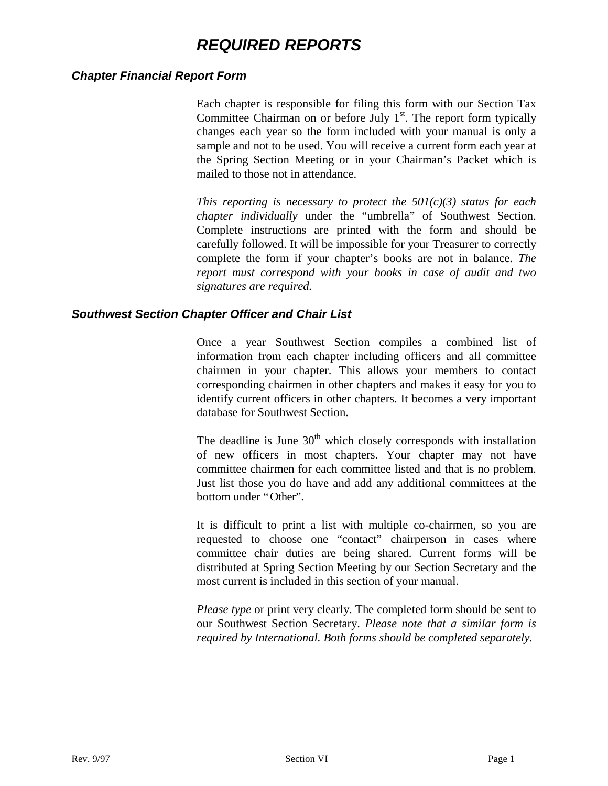# *REQUIRED REPORTS*

#### *Chapter Financial Report Form*

Each chapter is responsible for filing this form with our Section Tax Committee Chairman on or before July  $1<sup>st</sup>$ . The report form typically changes each year so the form included with your manual is only a sample and not to be used. You will receive a current form each year at the Spring Section Meeting or in your Chairman's Packet which is mailed to those not in attendance.

*This reporting is necessary to protect the 501(c)(3) status for each chapter individually* under the "umbrella" of Southwest Section. Complete instructions are printed with the form and should be carefully followed. It will be impossible for your Treasurer to correctly complete the form if your chapter's books are not in balance. *The report must correspond with your books in case of audit and two signatures are required.*

#### *Southwest Section Chapter Officer and Chair List*

Once a year Southwest Section compiles a combined list of information from each chapter including officers and all committee chairmen in your chapter. This allows your members to contact corresponding chairmen in other chapters and makes it easy for you to identify current officers in other chapters. It becomes a very important database for Southwest Section.

The deadline is June  $30<sup>th</sup>$  which closely corresponds with installation of new officers in most chapters. Your chapter may not have committee chairmen for each committee listed and that is no problem. Just list those you do have and add any additional committees at the bottom under "Other".

It is difficult to print a list with multiple co-chairmen, so you are requested to choose one "contact" chairperson in cases where committee chair duties are being shared. Current forms will be distributed at Spring Section Meeting by our Section Secretary and the most current is included in this section of your manual.

*Please type* or print very clearly. The completed form should be sent to our Southwest Section Secretary. *Please note that a similar form is required by International. Both forms should be completed separately.*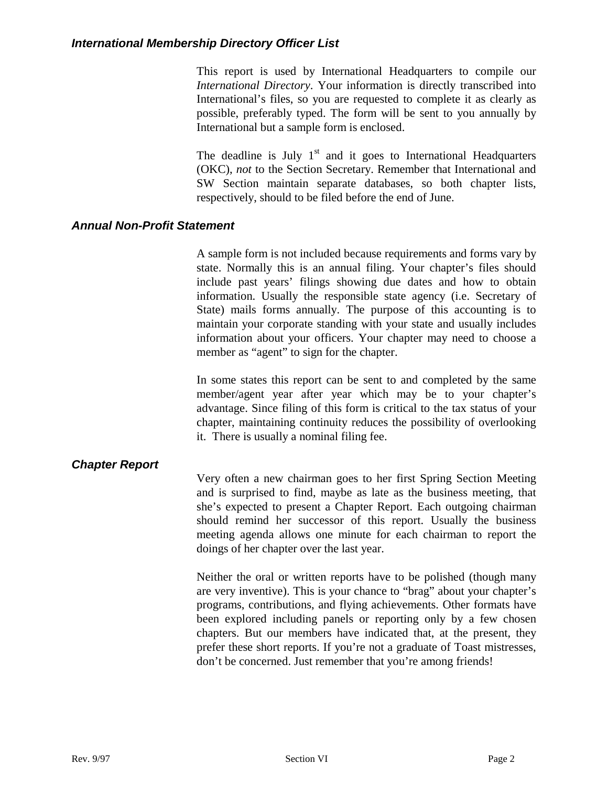#### *International Membership Directory Officer List*

This report is used by International Headquarters to compile our *International Directory*. Your information is directly transcribed into International's files, so you are requested to complete it as clearly as possible, preferably typed. The form will be sent to you annually by International but a sample form is enclosed.

The deadline is July  $1<sup>st</sup>$  and it goes to International Headquarters (OKC), *not* to the Section Secretary. Remember that International and SW Section maintain separate databases, so both chapter lists, respectively, should to be filed before the end of June.

#### *Annual Non-Profit Statement*

A sample form is not included because requirements and forms vary by state. Normally this is an annual filing. Your chapter's files should include past years' filings showing due dates and how to obtain information. Usually the responsible state agency (i.e. Secretary of State) mails forms annually. The purpose of this accounting is to maintain your corporate standing with your state and usually includes information about your officers. Your chapter may need to choose a member as "agent" to sign for the chapter.

In some states this report can be sent to and completed by the same member/agent year after year which may be to your chapter's advantage. Since filing of this form is critical to the tax status of your chapter, maintaining continuity reduces the possibility of overlooking it. There is usually a nominal filing fee.

#### *Chapter Report*

Very often a new chairman goes to her first Spring Section Meeting and is surprised to find, maybe as late as the business meeting, that she's expected to present a Chapter Report. Each outgoing chairman should remind her successor of this report. Usually the business meeting agenda allows one minute for each chairman to report the doings of her chapter over the last year.

Neither the oral or written reports have to be polished (though many are very inventive). This is your chance to "brag" about your chapter's programs, contributions, and flying achievements. Other formats have been explored including panels or reporting only by a few chosen chapters. But our members have indicated that, at the present, they prefer these short reports. If you're not a graduate of Toast mistresses, don't be concerned. Just remember that you're among friends!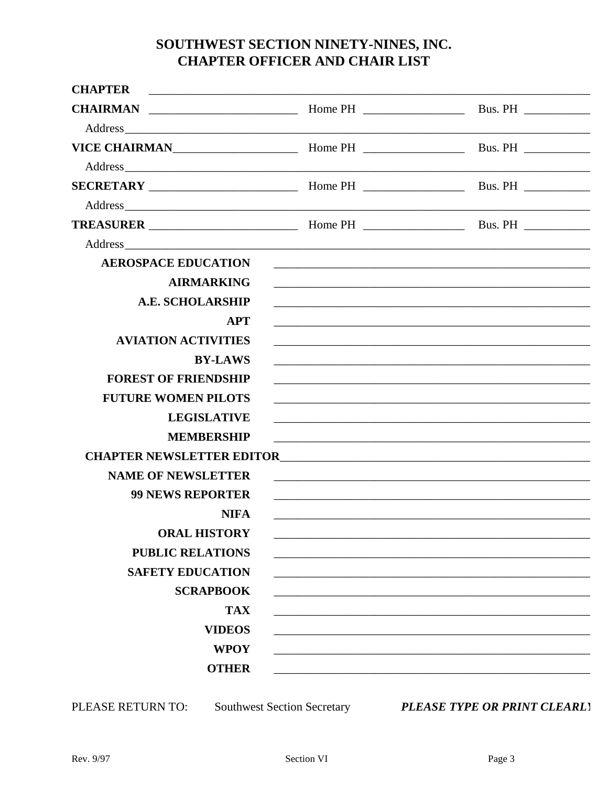## SOUTHWEST SECTION NINETY-NINES, INC. **CHAPTER OFFICER AND CHAIR LIST**

| <b>CHAPTER</b>                   | <u> 1989 - Johann Stoff, amerikansk politiker (* 1908)</u>                                                       |                                                                                                                     |
|----------------------------------|------------------------------------------------------------------------------------------------------------------|---------------------------------------------------------------------------------------------------------------------|
| <b>CHAIRMAN</b>                  |                                                                                                                  |                                                                                                                     |
|                                  |                                                                                                                  |                                                                                                                     |
|                                  |                                                                                                                  |                                                                                                                     |
|                                  |                                                                                                                  |                                                                                                                     |
|                                  |                                                                                                                  |                                                                                                                     |
|                                  |                                                                                                                  |                                                                                                                     |
|                                  |                                                                                                                  |                                                                                                                     |
|                                  |                                                                                                                  |                                                                                                                     |
| <b>AEROSPACE EDUCATION</b>       |                                                                                                                  |                                                                                                                     |
| <b>AIRMARKING</b>                |                                                                                                                  |                                                                                                                     |
| <b>A.E. SCHOLARSHIP</b>          |                                                                                                                  |                                                                                                                     |
| <b>APT</b>                       |                                                                                                                  |                                                                                                                     |
| <b>AVIATION ACTIVITIES</b>       | and the control of the control of the control of the control of the control of the control of the control of the |                                                                                                                     |
| <b>BY-LAWS</b>                   |                                                                                                                  |                                                                                                                     |
| <b>FOREST OF FRIENDSHIP</b>      |                                                                                                                  |                                                                                                                     |
| <b>FUTURE WOMEN PILOTS</b>       |                                                                                                                  |                                                                                                                     |
| <b>LEGISLATIVE</b>               |                                                                                                                  | and the control of the control of the control of the control of the control of the control of the control of the    |
| <b>MEMBERSHIP</b>                |                                                                                                                  | <u> 2000 - Jan James James Jan James James James James James James James James James James James James James Ja</u> |
| <b>CHAPTER NEWSLETTER EDITOR</b> |                                                                                                                  | <u> 1980 - Jan James James Barbara, martxa a shekara 1980 - Ang tsayin a shekara 1980 - Ang tsayin a shekara</u>    |
| <b>NAME OF NEWSLETTER</b>        |                                                                                                                  | and the control of the control of the control of the control of the control of the control of the control of the    |
| <b>99 NEWS REPORTER</b>          |                                                                                                                  |                                                                                                                     |
| <b>NIFA</b>                      |                                                                                                                  |                                                                                                                     |
| <b>ORAL HISTORY</b>              |                                                                                                                  |                                                                                                                     |
| <b>PUBLIC RELATIONS</b>          |                                                                                                                  |                                                                                                                     |
| <b>SAFETY EDUCATION</b>          |                                                                                                                  |                                                                                                                     |
| <b>SCRAPBOOK</b>                 |                                                                                                                  |                                                                                                                     |
| <b>TAX</b>                       |                                                                                                                  |                                                                                                                     |
| <b>VIDEOS</b>                    |                                                                                                                  |                                                                                                                     |
| <b>WPOY</b>                      |                                                                                                                  |                                                                                                                     |
| <b>OTHER</b>                     |                                                                                                                  |                                                                                                                     |

PLEASE RETURN TO:

Southwest Section Secretary PLEASE TYPE OR PRINT CLEARLI